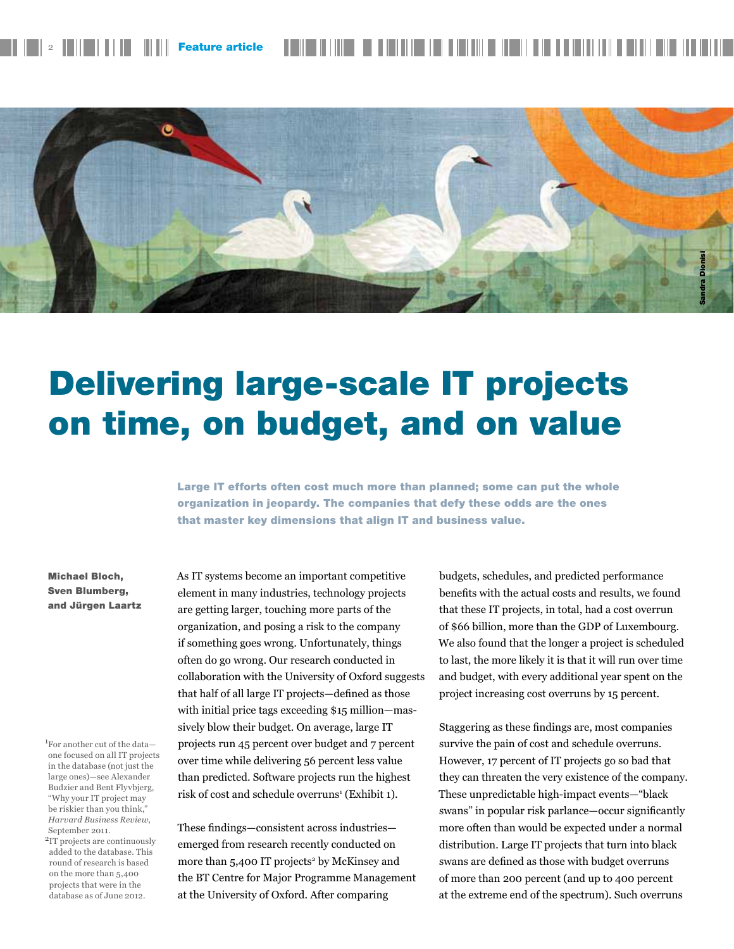



# Delivering large-scale IT projects on time, on budget, and on value

Large IT efforts often cost much more than planned; some can put the whole organization in jeopardy. The companies that defy these odds are the ones that master key dimensions that align IT and business value.

#### Michael Bloch, Sven Blumberg, and Jürgen Laartz

1 For another cut of the data one focused on all IT projects in the database (not just the large ones)—see Alexander Budzier and Bent Flyvbjerg, "Why your IT project may be riskier than you think," *Harvard Business Review*, September 2011.

2IT projects are continuously added to the database. This round of research is based on the more than 5,400 projects that were in the database as of June 2012.

As IT systems become an important competitive element in many industries, technology projects are getting larger, touching more parts of the organization, and posing a risk to the company if something goes wrong. Unfortunately, things often do go wrong. Our research conducted in collaboration with the University of Oxford suggests that half of all large IT projects—defined as those with initial price tags exceeding \$15 million—massively blow their budget. On average, large IT projects run 45 percent over budget and 7 percent over time while delivering 56 percent less value than predicted. Software projects run the highest risk of cost and schedule overruns<sup>1</sup> (Exhibit 1).

These findings—consistent across industries emerged from research recently conducted on more than 5,400 IT projects<sup>2</sup> by McKinsey and the BT Centre for Major Programme Management at the University of Oxford. After comparing

budgets, schedules, and predicted performance benefits with the actual costs and results, we found that these IT projects, in total, had a cost overrun of \$66 billion, more than the GDP of Luxembourg. We also found that the longer a project is scheduled to last, the more likely it is that it will run over time and budget, with every additional year spent on the project increasing cost overruns by 15 percent.

Staggering as these findings are, most companies survive the pain of cost and schedule overruns. However, 17 percent of IT projects go so bad that they can threaten the very existence of the company. These unpredictable high-impact events—"black swans" in popular risk parlance—occur significantly more often than would be expected under a normal distribution. Large IT projects that turn into black swans are defined as those with budget overruns of more than 200 percent (and up to 400 percent at the extreme end of the spectrum). Such overruns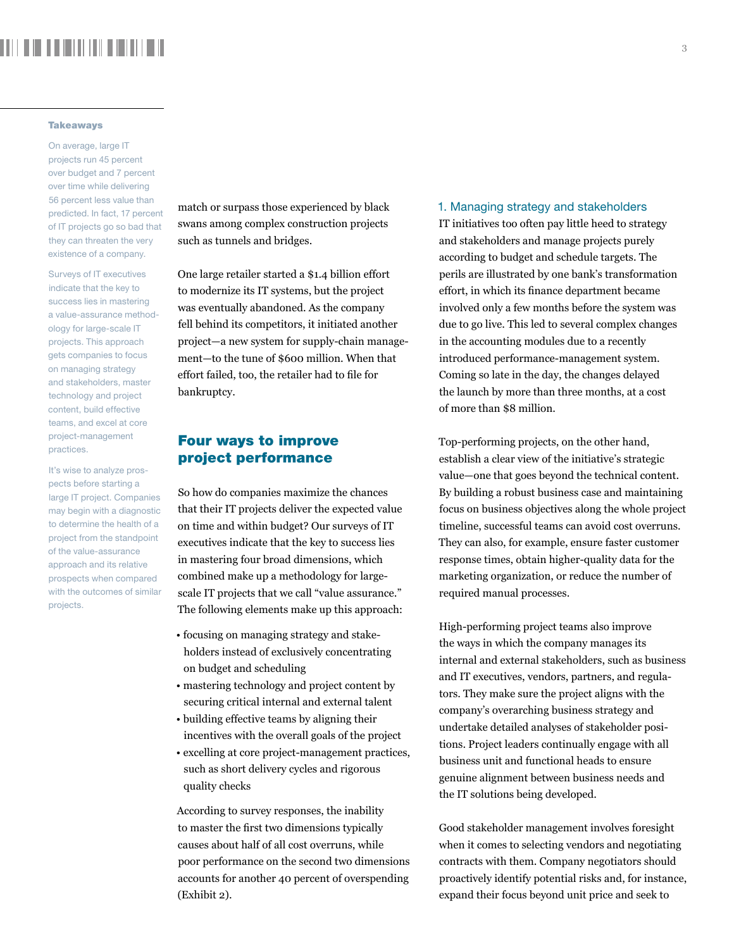# . . . . . . . . . . . . . . .

#### **Takeaways**

On average, large IT projects run 45 percent over budget and 7 percent over time while delivering 56 percent less value than predicted. In fact, 17 percent of IT projects go so bad that they can threaten the very existence of a company.

Surveys of IT executives indicate that the key to success lies in mastering a value-assurance methodology for large-scale IT projects. This approach gets companies to focus on managing strategy and stakeholders, master technology and project content, build effective teams, and excel at core project-management practices.

It's wise to analyze prospects before starting a large IT project. Companies may begin with a diagnostic to determine the health of a project from the standpoint of the value-assurance approach and its relative prospects when compared with the outcomes of similar projects.

match or surpass those experienced by black swans among complex construction projects such as tunnels and bridges.

One large retailer started a \$1.4 billion effort to modernize its IT systems, but the project was eventually abandoned. As the company fell behind its competitors, it initiated another project—a new system for supply-chain management—to the tune of \$600 million. When that effort failed, too, the retailer had to file for bankruptcy.

# Four ways to improve project performance

So how do companies maximize the chances that their IT projects deliver the expected value on time and within budget? Our surveys of IT executives indicate that the key to success lies in mastering four broad dimensions, which combined make up a methodology for largescale IT projects that we call "value assurance." The following elements make up this approach:

- focusing on managing strategy and stakeholders instead of exclusively concentrating on budget and scheduling
- mastering technology and project content by securing critical internal and external talent
- building effective teams by aligning their incentives with the overall goals of the project
- excelling at core project-management practices, such as short delivery cycles and rigorous quality checks

According to survey responses, the inability to master the first two dimensions typically causes about half of all cost overruns, while poor performance on the second two dimensions accounts for another 40 percent of overspending (Exhibit 2).

#### 1. Managing strategy and stakeholders

IT initiatives too often pay little heed to strategy and stakeholders and manage projects purely according to budget and schedule targets. The perils are illustrated by one bank's transformation effort, in which its finance department became involved only a few months before the system was due to go live. This led to several complex changes in the accounting modules due to a recently introduced performance-management system. Coming so late in the day, the changes delayed the launch by more than three months, at a cost of more than \$8 million.

Top-performing projects, on the other hand, establish a clear view of the initiative's strategic value—one that goes beyond the technical content. By building a robust business case and maintaining focus on business objectives along the whole project timeline, successful teams can avoid cost overruns. They can also, for example, ensure faster customer response times, obtain higher-quality data for the marketing organization, or reduce the number of required manual processes.

High-performing project teams also improve the ways in which the company manages its internal and external stakeholders, such as business and IT executives, vendors, partners, and regulators. They make sure the project aligns with the company's overarching business strategy and undertake detailed analyses of stakeholder positions. Project leaders continually engage with all business unit and functional heads to ensure genuine alignment between business needs and the IT solutions being developed.

Good stakeholder management involves foresight when it comes to selecting vendors and negotiating contracts with them. Company negotiators should proactively identify potential risks and, for instance, expand their focus beyond unit price and seek to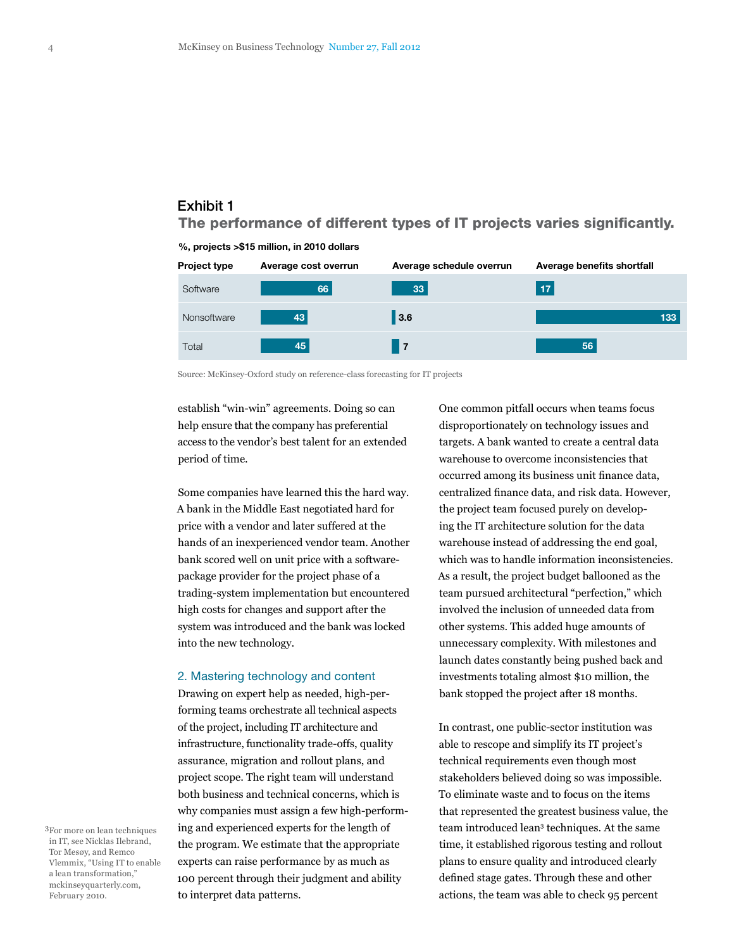# The performance of different types of IT projects varies significantly. Exhibit 1



%, projects >\$15 million, in 2010 dollars

Source: McKinsey-Oxford study on reference-class forecasting for IT projects

establish "win-win" agreements. Doing so can help ensure that the company has preferential access to the vendor's best talent for an extended period of time.

Some companies have learned this the hard way. A bank in the Middle East negotiated hard for price with a vendor and later suffered at the hands of an inexperienced vendor team. Another bank scored well on unit price with a softwarepackage provider for the project phase of a trading-system implementation but encountered high costs for changes and support after the system was introduced and the bank was locked into the new technology.

#### 2. Mastering technology and content

Drawing on expert help as needed, high-performing teams orchestrate all technical aspects of the project, including IT architecture and infrastructure, functionality trade-offs, quality assurance, migration and rollout plans, and project scope. The right team will understand both business and technical concerns, which is why companies must assign a few high-performing and experienced experts for the length of the program. We estimate that the appropriate experts can raise performance by as much as 100 percent through their judgment and ability to interpret data patterns.

One common pitfall occurs when teams focus disproportionately on technology issues and targets. A bank wanted to create a central data warehouse to overcome inconsistencies that occurred among its business unit finance data, centralized finance data, and risk data. However, the project team focused purely on developing the IT architecture solution for the data warehouse instead of addressing the end goal, which was to handle information inconsistencies. As a result, the project budget ballooned as the team pursued architectural "perfection," which involved the inclusion of unneeded data from other systems. This added huge amounts of unnecessary complexity. With milestones and launch dates constantly being pushed back and investments totaling almost \$10 million, the bank stopped the project after 18 months.

In contrast, one public-sector institution was able to rescope and simplify its IT project's technical requirements even though most stakeholders believed doing so was impossible. To eliminate waste and to focus on the items that represented the greatest business value, the team introduced lean3 techniques. At the same time, it established rigorous testing and rollout plans to ensure quality and introduced clearly defined stage gates. Through these and other actions, the team was able to check 95 percent

3For more on lean techniques in IT, see Nicklas Ilebrand, Tor Mesøy, and Remco Vlemmix, "Using IT to enable a lean transformation," mckinseyquarterly.com, February 2010.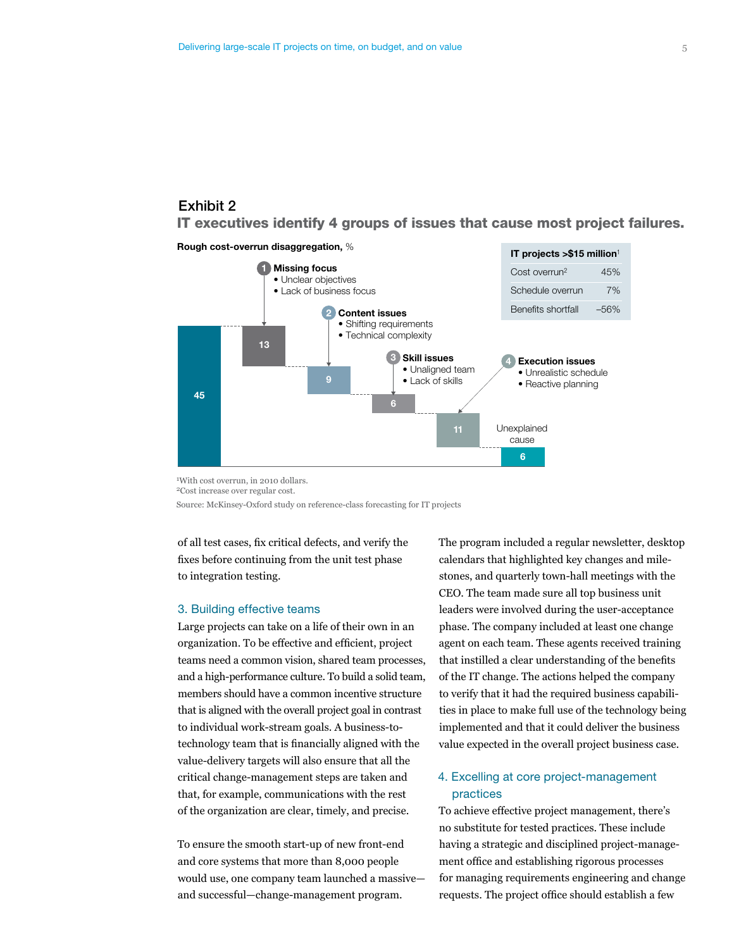# Exhibit 2

# IT executives identify 4 groups of issues that cause most project failures.

Rough cost-overrun disaggregation, %



1With cost overrun, in 2010 dollars. 2Cost increase over regular cost.

Source: McKinsey-Oxford study on reference-class forecasting for IT projects

of all test cases, fix critical defects, and verify the fixes before continuing from the unit test phase to integration testing.

#### 3. Building effective teams

Large projects can take on a life of their own in an organization. To be effective and efficient, project teams need a common vision, shared team processes, and a high-performance culture. To build a solid team, members should have a common incentive structure that is aligned with the overall project goal in contrast to individual work-stream goals. A business-totechnology team that is financially aligned with the value-delivery targets will also ensure that all the critical change-management steps are taken and that, for example, communications with the rest of the organization are clear, timely, and precise.

To ensure the smooth start-up of new front-end and core systems that more than 8,000 people would use, one company team launched a massive and successful—change-management program.

The program included a regular newsletter, desktop calendars that highlighted key changes and milestones, and quarterly town-hall meetings with the CEO. The team made sure all top business unit leaders were involved during the user-acceptance phase. The company included at least one change agent on each team. These agents received training that instilled a clear understanding of the benefits of the IT change. The actions helped the company to verify that it had the required business capabilities in place to make full use of the technology being implemented and that it could deliver the business value expected in the overall project business case.

### 4. Excelling at core project-management practices

To achieve effective project management, there's no substitute for tested practices. These include having a strategic and disciplined project-management office and establishing rigorous processes for managing requirements engineering and change requests. The project office should establish a few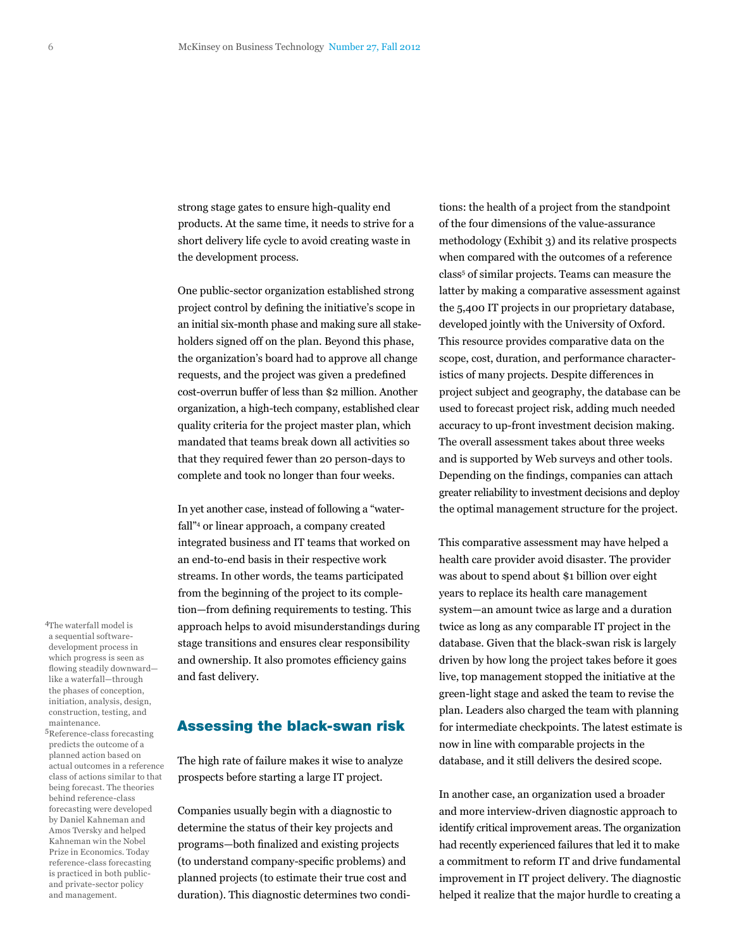strong stage gates to ensure high-quality end products. At the same time, it needs to strive for a short delivery life cycle to avoid creating waste in the development process.

One public-sector organization established strong project control by defining the initiative's scope in an initial six-month phase and making sure all stakeholders signed off on the plan. Beyond this phase, the organization's board had to approve all change requests, and the project was given a predefined cost-overrun buffer of less than \$2 million. Another organization, a high-tech company, established clear quality criteria for the project master plan, which mandated that teams break down all activities so that they required fewer than 20 person-days to complete and took no longer than four weeks.

In yet another case, instead of following a "waterfall"4 or linear approach, a company created integrated business and IT teams that worked on an end-to-end basis in their respective work streams. In other words, the teams participated from the beginning of the project to its completion—from defining requirements to testing. This approach helps to avoid misunderstandings during stage transitions and ensures clear responsibility and ownership. It also promotes efficiency gains and fast delivery.

## Assessing the black-swan risk

The high rate of failure makes it wise to analyze prospects before starting a large IT project.

Companies usually begin with a diagnostic to determine the status of their key projects and programs—both finalized and existing projects (to understand company-specific problems) and planned projects (to estimate their true cost and duration). This diagnostic determines two conditions: the health of a project from the standpoint of the four dimensions of the value-assurance methodology (Exhibit 3) and its relative prospects when compared with the outcomes of a reference class<sup>5</sup> of similar projects. Teams can measure the latter by making a comparative assessment against the 5,400 IT projects in our proprietary database, developed jointly with the University of Oxford. This resource provides comparative data on the scope, cost, duration, and performance characteristics of many projects. Despite differences in project subject and geography, the database can be used to forecast project risk, adding much needed accuracy to up-front investment decision making. The overall assessment takes about three weeks and is supported by Web surveys and other tools. Depending on the findings, companies can attach greater reliability to investment decisions and deploy the optimal management structure for the project.

This comparative assessment may have helped a health care provider avoid disaster. The provider was about to spend about \$1 billion over eight years to replace its health care management system—an amount twice as large and a duration twice as long as any comparable IT project in the database. Given that the black-swan risk is largely driven by how long the project takes before it goes live, top management stopped the initiative at the green-light stage and asked the team to revise the plan. Leaders also charged the team with planning for intermediate checkpoints. The latest estimate is now in line with comparable projects in the database, and it still delivers the desired scope.

In another case, an organization used a broader and more interview-driven diagnostic approach to identify critical improvement areas. The organization had recently experienced failures that led it to make a commitment to reform IT and drive fundamental improvement in IT project delivery. The diagnostic helped it realize that the major hurdle to creating a

4The waterfall model is a sequential softwaredevelopment process in which progress is seen as flowing steadily downward like a waterfall—through the phases of conception, initiation, analysis, design, construction, testing, and maintenance.

5Reference-class forecasting predicts the outcome of a planned action based on actual outcomes in a reference class of actions similar to that being forecast. The theories behind reference-class forecasting were developed by Daniel Kahneman and Amos Tversky and helped Kahneman win the Nobel Prize in Economics. Today reference-class forecasting is practiced in both publicand private-sector policy and management.